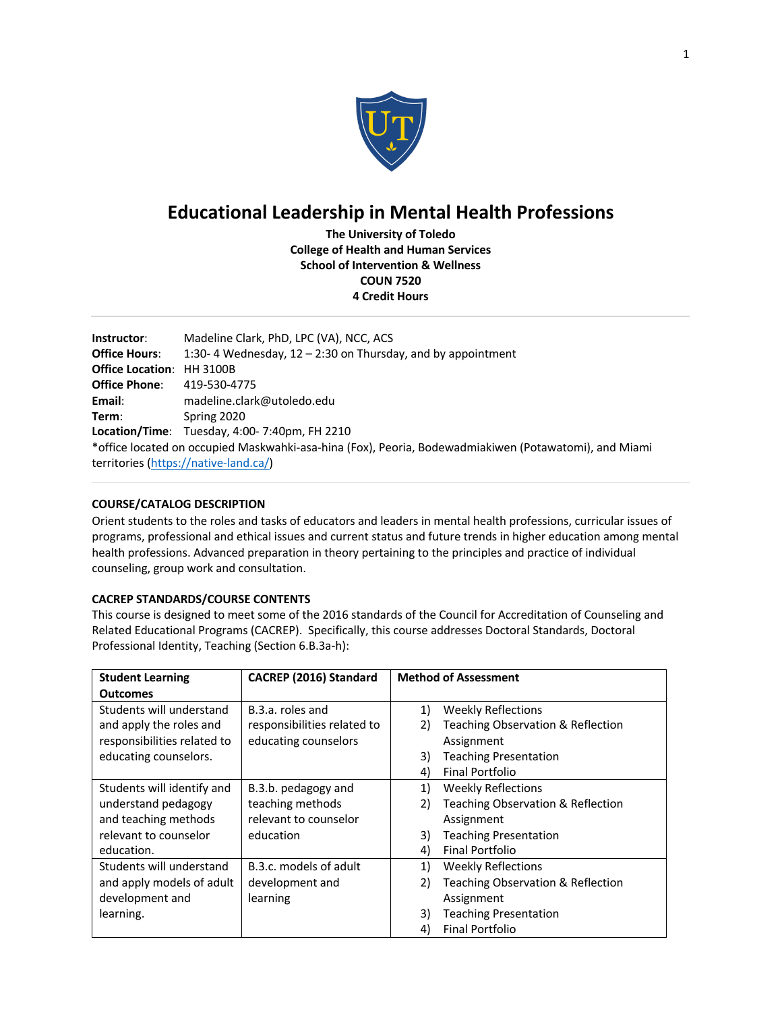

# **Educational Leadership in Mental Health Professions**

**The University of Toledo College of Health and Human Services School of Intervention & Wellness COUN 7520 4 Credit Hours**

| Instructor:                           | Madeline Clark, PhD, LPC (VA), NCC, ACS                                                               |  |  |
|---------------------------------------|-------------------------------------------------------------------------------------------------------|--|--|
| <b>Office Hours:</b>                  | 1:30-4 Wednesday, $12 - 2:30$ on Thursday, and by appointment                                         |  |  |
| <b>Office Location: HH 3100B</b>      |                                                                                                       |  |  |
| <b>Office Phone:</b>                  | 419-530-4775                                                                                          |  |  |
| Email:                                | madeline.clark@utoledo.edu                                                                            |  |  |
| Term:                                 | Spring 2020                                                                                           |  |  |
|                                       | <b>Location/Time:</b> Tuesday, $4:00-7:40$ pm, FH 2210                                                |  |  |
|                                       | *office located on occupied Maskwahki-asa-hina (Fox), Peoria, Bodewadmiakiwen (Potawatomi), and Miami |  |  |
| territories (https://native-land.ca/) |                                                                                                       |  |  |

## **COURSE/CATALOG DESCRIPTION**

Orient students to the roles and tasks of educators and leaders in mental health professions, curricular issues of programs, professional and ethical issues and current status and future trends in higher education among mental health professions. Advanced preparation in theory pertaining to the principles and practice of individual counseling, group work and consultation.

## **CACREP STANDARDS/COURSE CONTENTS**

This course is designed to meet some of the 2016 standards of the Council for Accreditation of Counseling and Related Educational Programs (CACREP). Specifically, this course addresses Doctoral Standards, Doctoral Professional Identity, Teaching (Section 6.B.3a-h):

| <b>Student Learning</b>     | CACREP (2016) Standard      |    | <b>Method of Assessment</b>       |
|-----------------------------|-----------------------------|----|-----------------------------------|
| <b>Outcomes</b>             |                             |    |                                   |
| Students will understand    | B.3.a. roles and            | 1) | <b>Weekly Reflections</b>         |
| and apply the roles and     | responsibilities related to | 2) | Teaching Observation & Reflection |
| responsibilities related to | educating counselors        |    | Assignment                        |
| educating counselors.       |                             | 3) | <b>Teaching Presentation</b>      |
|                             |                             | 4) | <b>Final Portfolio</b>            |
| Students will identify and  | B.3.b. pedagogy and         | 1) | <b>Weekly Reflections</b>         |
| understand pedagogy         | teaching methods            | 2) | Teaching Observation & Reflection |
| and teaching methods        | relevant to counselor       |    | Assignment                        |
| relevant to counselor       | education                   | 3) | <b>Teaching Presentation</b>      |
| education.                  |                             | 4) | <b>Final Portfolio</b>            |
| Students will understand    | B.3.c. models of adult      | 1) | <b>Weekly Reflections</b>         |
| and apply models of adult   | development and             | 2) | Teaching Observation & Reflection |
| development and             | learning                    |    | Assignment                        |
| learning.                   |                             | 3) | <b>Teaching Presentation</b>      |
|                             |                             | 4) | Final Portfolio                   |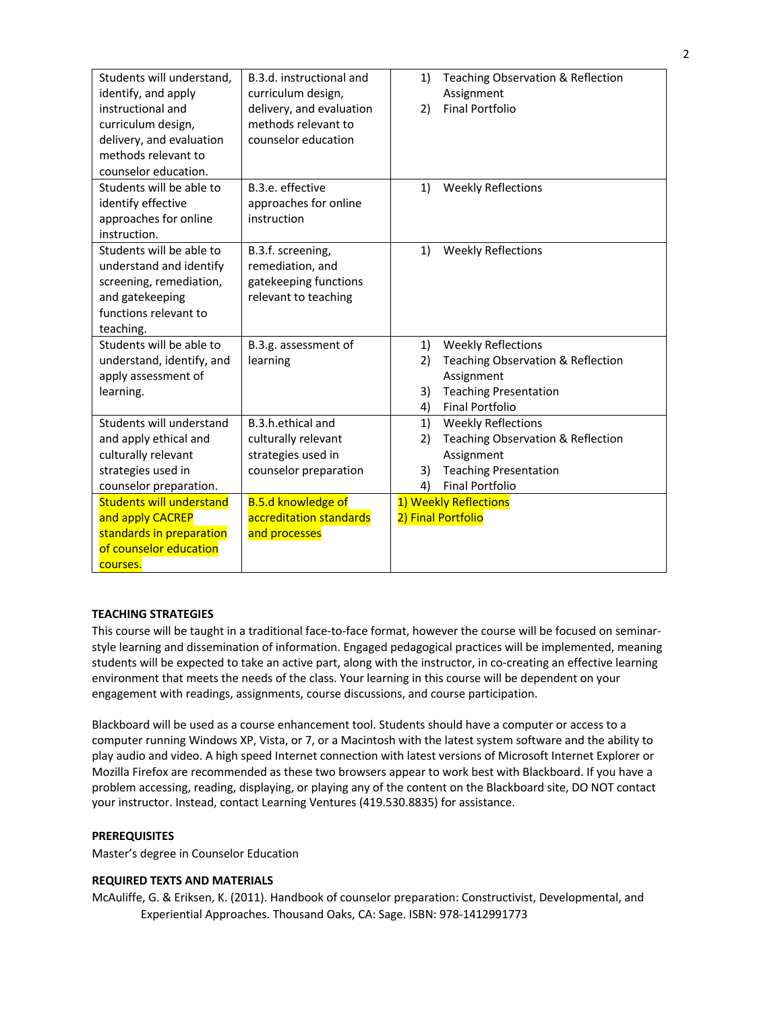| Students will understand,       | B.3.d. instructional and  | Teaching Observation & Reflection<br>1) |
|---------------------------------|---------------------------|-----------------------------------------|
| identify, and apply             | curriculum design,        | Assignment                              |
| instructional and               | delivery, and evaluation  | <b>Final Portfolio</b><br>2)            |
| curriculum design,              | methods relevant to       |                                         |
| delivery, and evaluation        | counselor education       |                                         |
| methods relevant to             |                           |                                         |
| counselor education.            |                           |                                         |
| Students will be able to        | B.3.e. effective          | <b>Weekly Reflections</b><br>1)         |
| identify effective              | approaches for online     |                                         |
| approaches for online           | instruction               |                                         |
| instruction.                    |                           |                                         |
| Students will be able to        | B.3.f. screening,         | <b>Weekly Reflections</b><br>1)         |
| understand and identify         | remediation, and          |                                         |
| screening, remediation,         | gatekeeping functions     |                                         |
| and gatekeeping                 | relevant to teaching      |                                         |
| functions relevant to           |                           |                                         |
| teaching.                       |                           |                                         |
| Students will be able to        | B.3.g. assessment of      | <b>Weekly Reflections</b><br>1)         |
| understand, identify, and       | learning                  | Teaching Observation & Reflection<br>2) |
| apply assessment of             |                           | Assignment                              |
| learning.                       |                           | <b>Teaching Presentation</b><br>3)      |
|                                 |                           | <b>Final Portfolio</b><br>4)            |
| Students will understand        | B.3.h.ethical and         | <b>Weekly Reflections</b><br>1)         |
| and apply ethical and           | culturally relevant       | Teaching Observation & Reflection<br>2) |
| culturally relevant             | strategies used in        | Assignment                              |
| strategies used in              | counselor preparation     | <b>Teaching Presentation</b><br>3)      |
| counselor preparation.          |                           | <b>Final Portfolio</b><br>4)            |
| <b>Students will understand</b> | <b>B.5.d knowledge of</b> | 1) Weekly Reflections                   |
| and apply CACREP                | accreditation standards   | 2) Final Portfolio                      |
| standards in preparation        | and processes             |                                         |
| of counselor education          |                           |                                         |
| courses.                        |                           |                                         |

## **TEACHING STRATEGIES**

This course will be taught in a traditional face-to-face format, however the course will be focused on seminarstyle learning and dissemination of information. Engaged pedagogical practices will be implemented, meaning students will be expected to take an active part, along with the instructor, in co-creating an effective learning environment that meets the needs of the class. Your learning in this course will be dependent on your engagement with readings, assignments, course discussions, and course participation.

Blackboard will be used as a course enhancement tool. Students should have a computer or access to a computer running Windows XP, Vista, or 7, or a Macintosh with the latest system software and the ability to play audio and video. A high speed Internet connection with latest versions of Microsoft Internet Explorer or Mozilla Firefox are recommended as these two browsers appear to work best with Blackboard. If you have a problem accessing, reading, displaying, or playing any of the content on the Blackboard site, DO NOT contact your instructor. Instead, contact Learning Ventures (419.530.8835) for assistance.

## **PREREQUISITES**

Master's degree in Counselor Education

#### **REQUIRED TEXTS AND MATERIALS**

McAuliffe, G. & Eriksen, K. (2011). Handbook of counselor preparation: Constructivist, Developmental, and Experiential Approaches. Thousand Oaks, CA: Sage. ISBN: 978-1412991773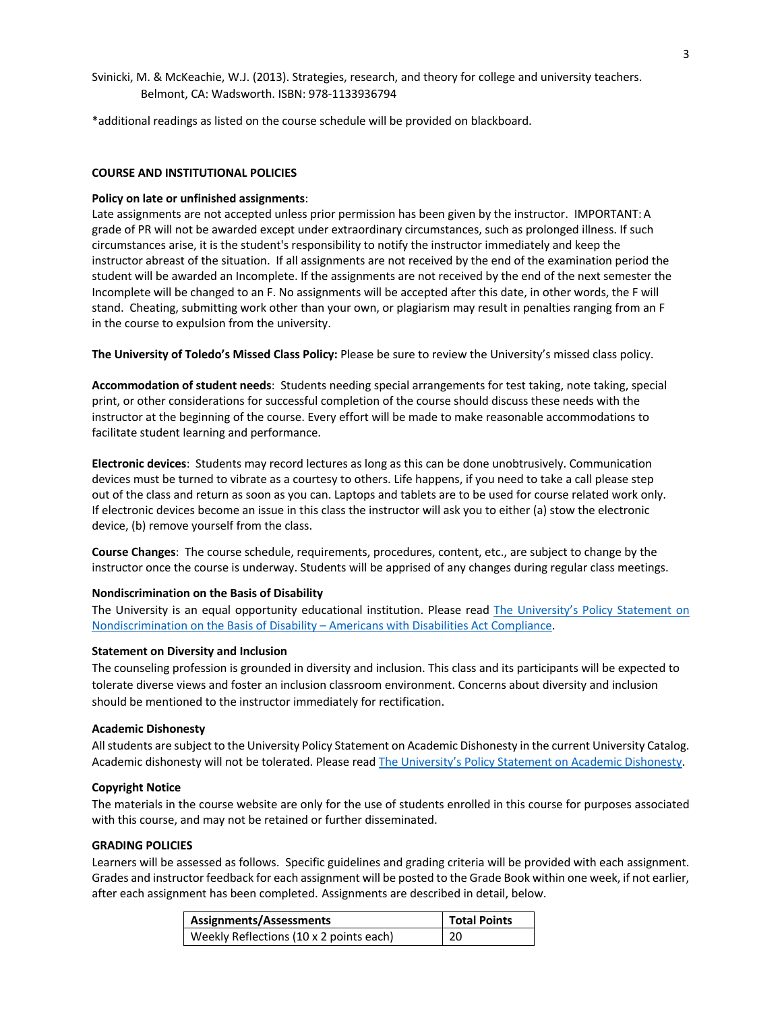Svinicki, M. & McKeachie, W.J. (2013). Strategies, research, and theory for college and university teachers. Belmont, CA: Wadsworth. ISBN: 978-1133936794

\*additional readings as listed on the course schedule will be provided on blackboard.

#### **COURSE AND INSTITUTIONAL POLICIES**

#### **Policy on late or unfinished assignments**:

Late assignments are not accepted unless prior permission has been given by the instructor. IMPORTANT:A grade of PR will not be awarded except under extraordinary circumstances, such as prolonged illness. If such circumstances arise, it is the student's responsibility to notify the instructor immediately and keep the instructor abreast of the situation. If all assignments are not received by the end of the examination period the student will be awarded an Incomplete. If the assignments are not received by the end of the next semester the Incomplete will be changed to an F. No assignments will be accepted after this date, in other words, the F will stand. Cheating, submitting work other than your own, or plagiarism may result in penalties ranging from an F in the course to expulsion from the university.

**The University of Toledo's Missed Class Policy:** Please be sure to review the University's missed class policy.

**Accommodation of student needs**: Students needing special arrangements for test taking, note taking, special print, or other considerations for successful completion of the course should discuss these needs with the instructor at the beginning of the course. Every effort will be made to make reasonable accommodations to facilitate student learning and performance.

**Electronic devices**: Students may record lectures as long as this can be done unobtrusively. Communication devices must be turned to vibrate as a courtesy to others. Life happens, if you need to take a call please step out of the class and return as soon as you can. Laptops and tablets are to be used for course related work only. If electronic devices become an issue in this class the instructor will ask you to either (a) stow the electronic device, (b) remove yourself from the class.

**Course Changes**: The course schedule, requirements, procedures, content, etc., are subject to change by the instructor once the course is underway. Students will be apprised of any changes during regular class meetings.

#### **Nondiscrimination on the Basis of Disability**

The University is an equal opportunity educational institution. Please read The University's Policy Statement on Nondiscrimination on the Basis of Disability – Americans with Disabilities Act Compliance.

#### **Statement on Diversity and Inclusion**

The counseling profession is grounded in diversity and inclusion. This class and its participants will be expected to tolerate diverse views and foster an inclusion classroom environment. Concerns about diversity and inclusion should be mentioned to the instructor immediately for rectification.

#### **Academic Dishonesty**

All students are subject to the University Policy Statement on Academic Dishonesty in the current University Catalog. Academic dishonesty will not be tolerated. Please read The University's Policy Statement on Academic Dishonesty.

#### **Copyright Notice**

The materials in the course website are only for the use of students enrolled in this course for purposes associated with this course, and may not be retained or further disseminated.

#### **GRADING POLICIES**

Learners will be assessed as follows. Specific guidelines and grading criteria will be provided with each assignment. Grades and instructor feedback for each assignment will be posted to the Grade Book within one week, if not earlier, after each assignment has been completed. Assignments are described in detail, below.

| <b>Assignments/Assessments</b>          | <b>Total Points</b> |
|-----------------------------------------|---------------------|
| Weekly Reflections (10 x 2 points each) | - 20                |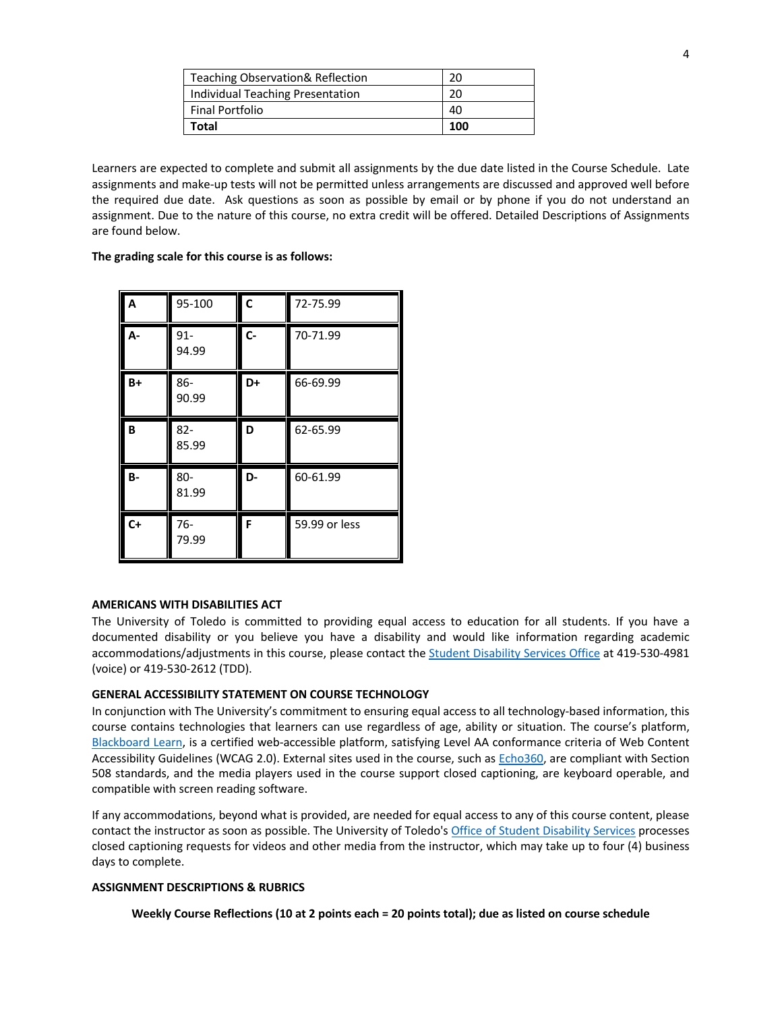| Teaching Observation& Reflection | 20  |
|----------------------------------|-----|
| Individual Teaching Presentation |     |
| <b>Final Portfolio</b>           | 40  |
| Total                            | 100 |

Learners are expected to complete and submit all assignments by the due date listed in the Course Schedule. Late assignments and make-up tests will not be permitted unless arrangements are discussed and approved well before the required due date. Ask questions as soon as possible by email or by phone if you do not understand an assignment. Due to the nature of this course, no extra credit will be offered. Detailed Descriptions of Assignments are found below.

**The grading scale for this course is as follows:**

| A         | 95-100          | C     | 72-75.99      |
|-----------|-----------------|-------|---------------|
| А-        | $91 -$<br>94.99 | $C -$ | 70-71.99      |
| B+        | 86-<br>90.99    | D+    | 66-69.99      |
| B         | $82 -$<br>85.99 | D     | 62-65.99      |
| <b>B-</b> | 80-<br>81.99    | D-    | 60-61.99      |
| $C+$      | $76 -$<br>79.99 | F     | 59.99 or less |

## **AMERICANS WITH DISABILITIES ACT**

The University of Toledo is committed to providing equal access to education for all students. If you have a documented disability or you believe you have a disability and would like information regarding academic accommodations/adjustments in this course, please contact the **Student Disability Services Office** at 419-530-4981 (voice) or 419-530-2612 (TDD).

#### **GENERAL ACCESSIBILITY STATEMENT ON COURSE TECHNOLOGY**

In conjunction with The University's commitment to ensuring equal access to all technology-based information, this course contains technologies that learners can use regardless of age, ability or situation. The course's platform, Blackboard Learn, is a certified web-accessible platform, satisfying Level AA conformance criteria of Web Content Accessibility Guidelines (WCAG 2.0). External sites used in the course, such as Echo360, are compliant with Section 508 standards, and the media players used in the course support closed captioning, are keyboard operable, and compatible with screen reading software.

If any accommodations, beyond what is provided, are needed for equal access to any of this course content, please contact the instructor as soon as possible. The University of Toledo's Office of Student Disability Services processes closed captioning requests for videos and other media from the instructor, which may take up to four (4) business days to complete.

#### **ASSIGNMENT DESCRIPTIONS & RUBRICS**

#### **Weekly Course Reflections (10 at 2 points each = 20 points total); due as listed on course schedule**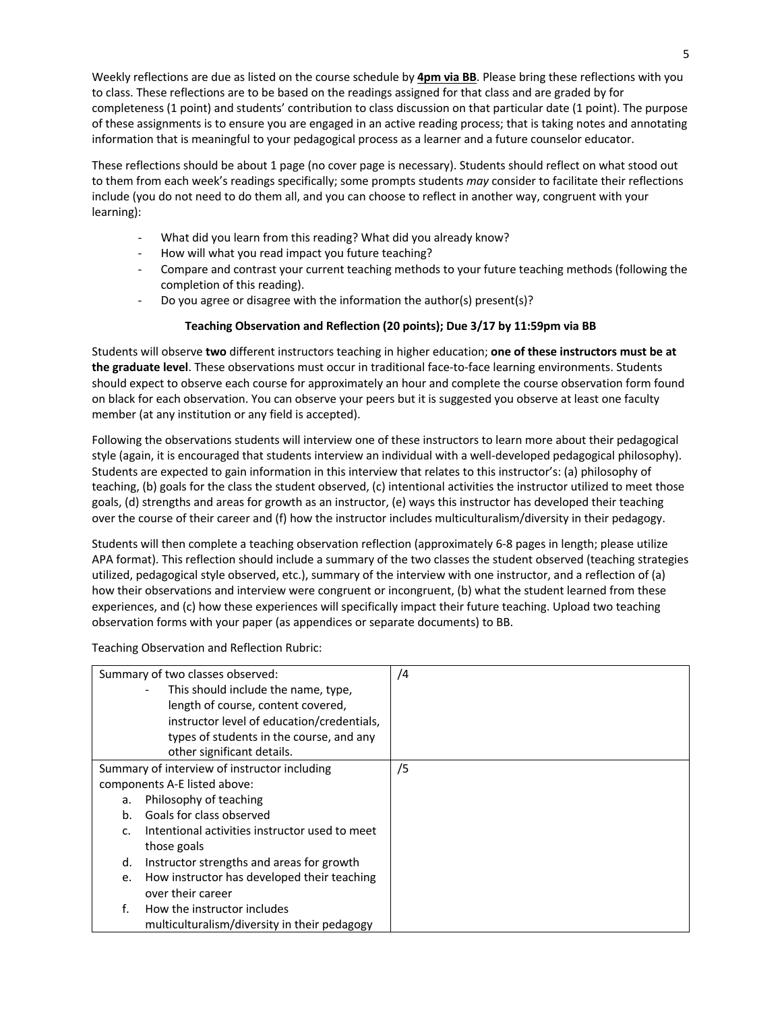Weekly reflections are due as listed on the course schedule by **4pm via BB**. Please bring these reflections with you to class. These reflections are to be based on the readings assigned for that class and are graded by for completeness (1 point) and students' contribution to class discussion on that particular date (1 point). The purpose of these assignments is to ensure you are engaged in an active reading process; that is taking notes and annotating information that is meaningful to your pedagogical process as a learner and a future counselor educator.

These reflections should be about 1 page (no cover page is necessary). Students should reflect on what stood out to them from each week's readings specifically; some prompts students *may* consider to facilitate their reflections include (you do not need to do them all, and you can choose to reflect in another way, congruent with your learning):

- What did you learn from this reading? What did you already know?
- How will what you read impact you future teaching?
- Compare and contrast your current teaching methods to your future teaching methods (following the completion of this reading).
- Do you agree or disagree with the information the author(s) present(s)?

## **Teaching Observation and Reflection (20 points); Due 3/17 by 11:59pm via BB**

Students will observe **two** different instructors teaching in higher education; **one of these instructors must be at the graduate level**. These observations must occur in traditional face-to-face learning environments. Students should expect to observe each course for approximately an hour and complete the course observation form found on black for each observation. You can observe your peers but it is suggested you observe at least one faculty member (at any institution or any field is accepted).

Following the observations students will interview one of these instructors to learn more about their pedagogical style (again, it is encouraged that students interview an individual with a well-developed pedagogical philosophy). Students are expected to gain information in this interview that relates to this instructor's: (a) philosophy of teaching, (b) goals for the class the student observed, (c) intentional activities the instructor utilized to meet those goals, (d) strengths and areas for growth as an instructor, (e) ways this instructor has developed their teaching over the course of their career and (f) how the instructor includes multiculturalism/diversity in their pedagogy.

Students will then complete a teaching observation reflection (approximately 6-8 pages in length; please utilize APA format). This reflection should include a summary of the two classes the student observed (teaching strategies utilized, pedagogical style observed, etc.), summary of the interview with one instructor, and a reflection of (a) how their observations and interview were congruent or incongruent, (b) what the student learned from these experiences, and (c) how these experiences will specifically impact their future teaching. Upload two teaching observation forms with your paper (as appendices or separate documents) to BB.

Teaching Observation and Reflection Rubric:

| Summary of two classes observed: |                                                | /4 |
|----------------------------------|------------------------------------------------|----|
|                                  | This should include the name, type,            |    |
|                                  | length of course, content covered,             |    |
|                                  | instructor level of education/credentials,     |    |
|                                  | types of students in the course, and any       |    |
|                                  | other significant details.                     |    |
|                                  | Summary of interview of instructor including   | /5 |
|                                  | components A-E listed above:                   |    |
| a.                               | Philosophy of teaching                         |    |
| b.                               | Goals for class observed                       |    |
| $C_{\cdot}$                      | Intentional activities instructor used to meet |    |
|                                  | those goals                                    |    |
| d.                               | Instructor strengths and areas for growth      |    |
| e.                               | How instructor has developed their teaching    |    |
|                                  | over their career                              |    |
| f.                               | How the instructor includes                    |    |
|                                  | multiculturalism/diversity in their pedagogy   |    |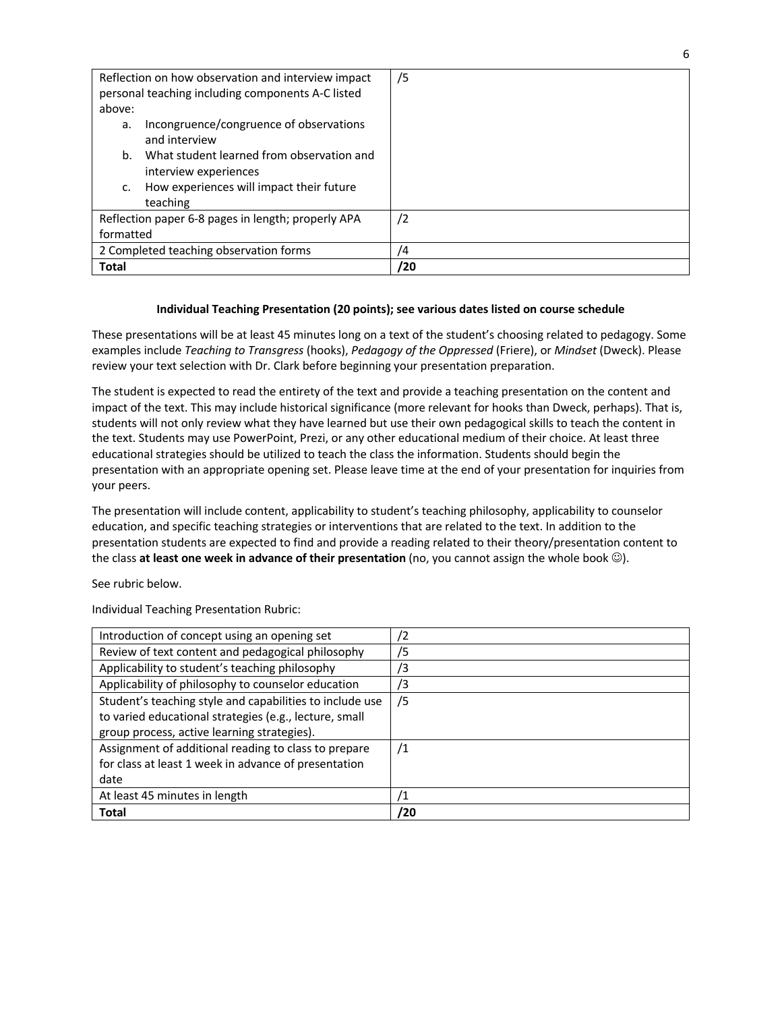| Reflection on how observation and interview impact<br>personal teaching including components A-C listed<br>above: | /5         |
|-------------------------------------------------------------------------------------------------------------------|------------|
| Incongruence/congruence of observations<br>a.<br>and interview                                                    |            |
| What student learned from observation and<br>b.<br>interview experiences                                          |            |
| How experiences will impact their future<br>c.<br>teaching                                                        |            |
| Reflection paper 6-8 pages in length; properly APA                                                                | $\sqrt{2}$ |
| formatted                                                                                                         |            |
| 2 Completed teaching observation forms                                                                            | 4          |
| Total                                                                                                             | /20        |

## **Individual Teaching Presentation (20 points); see various dates listed on course schedule**

These presentations will be at least 45 minutes long on a text of the student's choosing related to pedagogy. Some examples include *Teaching to Transgress* (hooks), *Pedagogy of the Oppressed* (Friere), or *Mindset* (Dweck). Please review your text selection with Dr. Clark before beginning your presentation preparation.

The student is expected to read the entirety of the text and provide a teaching presentation on the content and impact of the text. This may include historical significance (more relevant for hooks than Dweck, perhaps). That is, students will not only review what they have learned but use their own pedagogical skills to teach the content in the text. Students may use PowerPoint, Prezi, or any other educational medium of their choice. At least three educational strategies should be utilized to teach the class the information. Students should begin the presentation with an appropriate opening set. Please leave time at the end of your presentation for inquiries from your peers.

The presentation will include content, applicability to student's teaching philosophy, applicability to counselor education, and specific teaching strategies or interventions that are related to the text. In addition to the presentation students are expected to find and provide a reading related to their theory/presentation content to the class **at least one week in advance of their presentation** (no, you cannot assign the whole book  $\circledcirc$ ).

See rubric below.

Individual Teaching Presentation Rubric:

| Introduction of concept using an opening set             | /2  |
|----------------------------------------------------------|-----|
| Review of text content and pedagogical philosophy        | /5  |
| Applicability to student's teaching philosophy           | /3  |
| Applicability of philosophy to counselor education       | /3  |
| Student's teaching style and capabilities to include use | /5  |
| to varied educational strategies (e.g., lecture, small   |     |
| group process, active learning strategies).              |     |
| Assignment of additional reading to class to prepare     | /1  |
| for class at least 1 week in advance of presentation     |     |
| date                                                     |     |
| At least 45 minutes in length                            |     |
| <b>Total</b>                                             | /20 |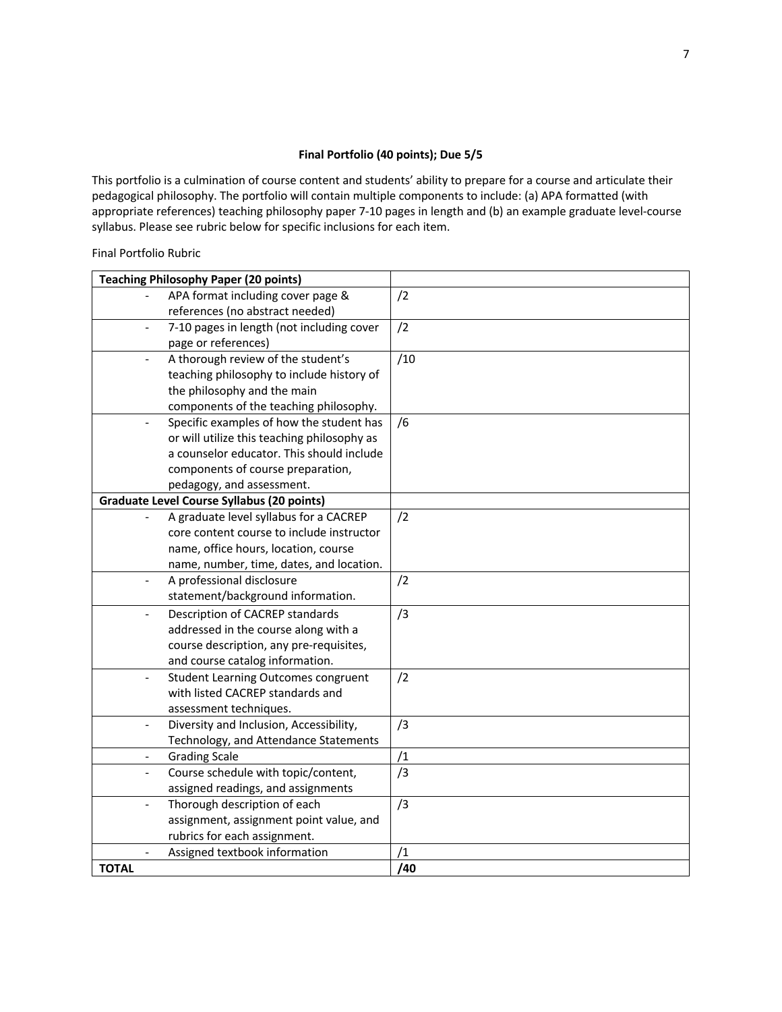## **Final Portfolio (40 points); Due 5/5**

This portfolio is a culmination of course content and students' ability to prepare for a course and articulate their pedagogical philosophy. The portfolio will contain multiple components to include: (a) APA formatted (with appropriate references) teaching philosophy paper 7-10 pages in length and (b) an example graduate level-course syllabus. Please see rubric below for specific inclusions for each item.

Final Portfolio Rubric

| <b>Teaching Philosophy Paper (20 points)</b>                           |     |
|------------------------------------------------------------------------|-----|
| APA format including cover page &                                      | /2  |
| references (no abstract needed)                                        |     |
| 7-10 pages in length (not including cover                              | /2  |
| page or references)                                                    |     |
| A thorough review of the student's                                     | /10 |
| teaching philosophy to include history of                              |     |
| the philosophy and the main                                            |     |
| components of the teaching philosophy.                                 |     |
| Specific examples of how the student has                               | /6  |
| or will utilize this teaching philosophy as                            |     |
| a counselor educator. This should include                              |     |
| components of course preparation,                                      |     |
| pedagogy, and assessment.                                              |     |
| <b>Graduate Level Course Syllabus (20 points)</b>                      |     |
| A graduate level syllabus for a CACREP                                 | /2  |
| core content course to include instructor                              |     |
| name, office hours, location, course                                   |     |
| name, number, time, dates, and location.                               |     |
| A professional disclosure<br>$\Box$                                    | /2  |
| statement/background information.                                      |     |
| Description of CACREP standards<br>$\overline{\phantom{a}}$            | /3  |
| addressed in the course along with a                                   |     |
| course description, any pre-requisites,                                |     |
| and course catalog information.                                        |     |
| <b>Student Learning Outcomes congruent</b><br>$\overline{\phantom{0}}$ | /2  |
| with listed CACREP standards and                                       |     |
| assessment techniques.                                                 |     |
| Diversity and Inclusion, Accessibility,<br>$\blacksquare$              | /3  |
| Technology, and Attendance Statements                                  |     |
| <b>Grading Scale</b><br>$\overline{\phantom{0}}$                       | /1  |
| Course schedule with topic/content,<br>$\overline{\phantom{0}}$        | /3  |
| assigned readings, and assignments                                     |     |
| Thorough description of each                                           | /3  |
| assignment, assignment point value, and                                |     |
| rubrics for each assignment.                                           |     |
| Assigned textbook information                                          | /1  |
| <b>TOTAL</b>                                                           | /40 |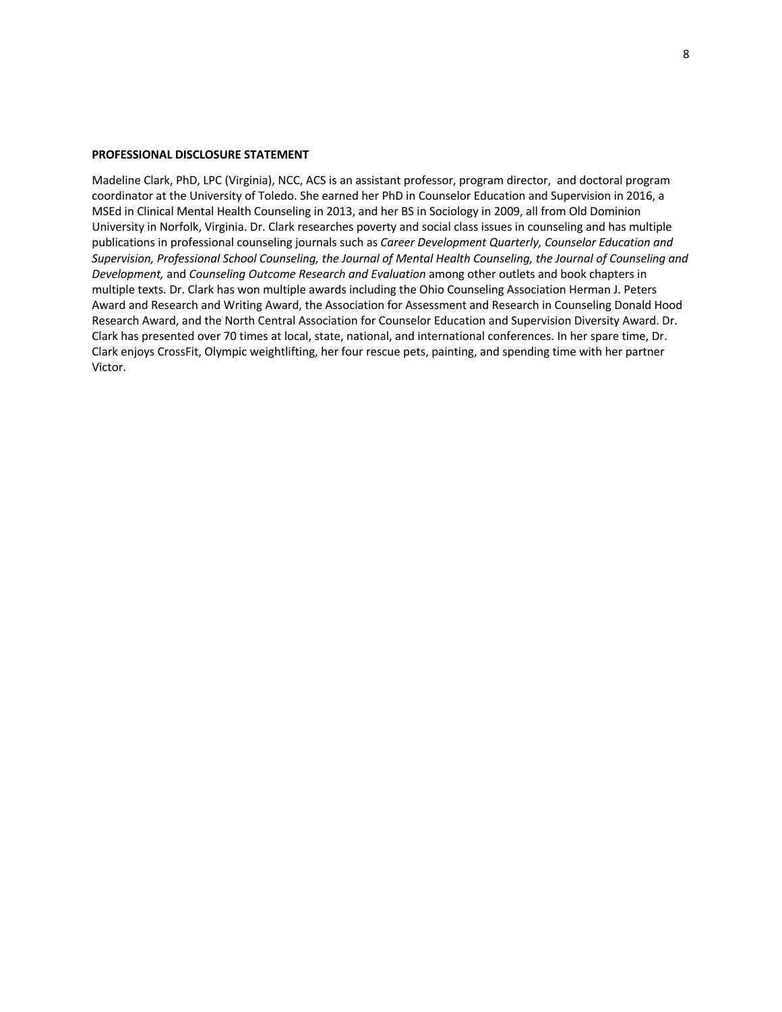#### **PROFESSIONAL DISCLOSURE STATEMENT**

Madeline Clark, PhD, LPC (Virginia), NCC, ACS is an assistant professor, program director, and doctoral program coordinator at the University of Toledo. She earned her PhD in Counselor Education and Supervision in 2016, a MSEd in Clinical Mental Health Counseling in 2013, and her BS in Sociology in 2009, all from Old Dominion University in Norfolk, Virginia. Dr. Clark researches poverty and social class issues in counseling and has multiple publications in professional counseling journals such as *Career Development Quarterly, Counselor Education and Supervision, Professional School Counseling, the Journal of Mental Health Counseling, the Journal of Counseling and Development,* and *Counseling Outcome Research and Evaluation* among other outlets and book chapters in multiple texts. Dr. Clark has won multiple awards including the Ohio Counseling Association Herman J. Peters Award and Research and Writing Award, the Association for Assessment and Research in Counseling Donald Hood Research Award, and the North Central Association for Counselor Education and Supervision Diversity Award. Dr. Clark has presented over 70 times at local, state, national, and international conferences. In her spare time, Dr. Clark enjoys CrossFit, Olympic weightlifting, her four rescue pets, painting, and spending time with her partner Victor.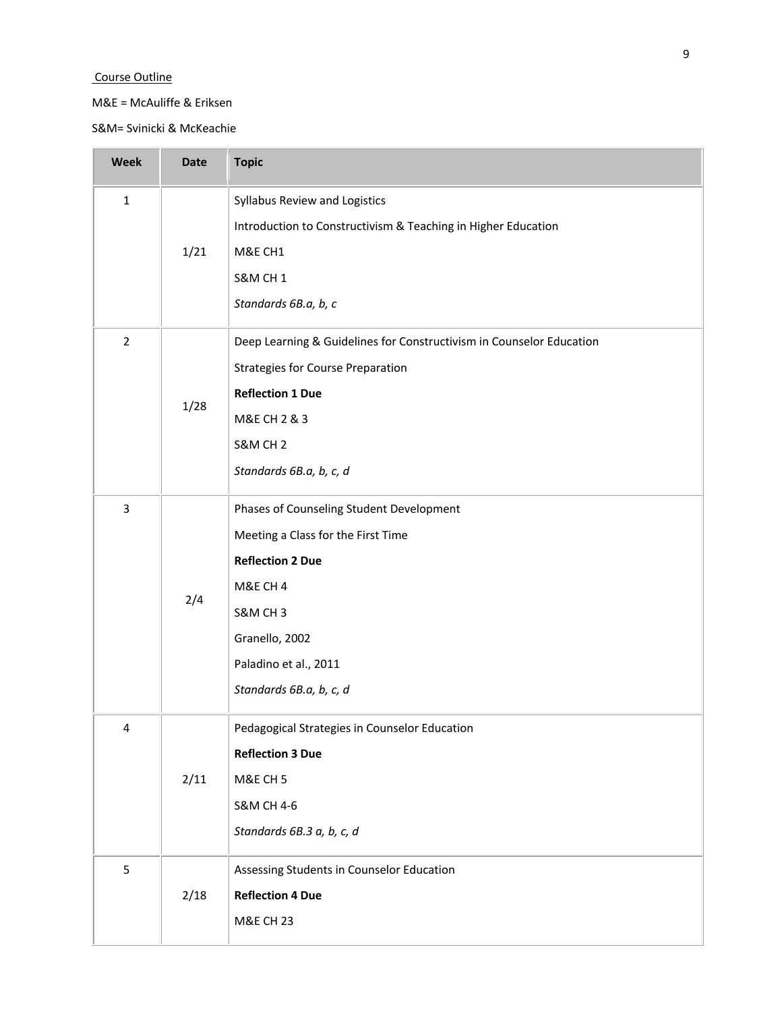## Course Outline

## M&E = McAuliffe & Eriksen

S&M= Svinicki & McKeachie

| <b>Week</b>    | <b>Date</b> | <b>Topic</b>                                                         |
|----------------|-------------|----------------------------------------------------------------------|
| $\mathbf 1$    |             | Syllabus Review and Logistics                                        |
|                |             | Introduction to Constructivism & Teaching in Higher Education        |
|                | 1/21        | M&E CH1                                                              |
|                |             | <b>S&amp;M CH 1</b>                                                  |
|                |             | Standards 6B.a, b, c                                                 |
| $\overline{2}$ |             | Deep Learning & Guidelines for Constructivism in Counselor Education |
|                |             | <b>Strategies for Course Preparation</b>                             |
|                | 1/28        | <b>Reflection 1 Due</b>                                              |
|                |             | M&E CH 2 & 3                                                         |
|                |             | S&M CH <sub>2</sub>                                                  |
|                |             | Standards 6B.a, b, c, d                                              |
| $\mathbf{3}$   |             | Phases of Counseling Student Development                             |
|                | 2/4         | Meeting a Class for the First Time                                   |
|                |             | <b>Reflection 2 Due</b>                                              |
|                |             | M&E CH 4                                                             |
|                |             | S&M CH3                                                              |
|                |             | Granello, 2002                                                       |
|                |             | Paladino et al., 2011                                                |
|                |             | Standards 6B.a, b, c, d                                              |
| 4              |             | Pedagogical Strategies in Counselor Education                        |
|                |             | <b>Reflection 3 Due</b>                                              |
|                | 2/11        | M&E CH <sub>5</sub>                                                  |
|                |             | <b>S&amp;M CH 4-6</b>                                                |
|                |             | Standards 6B.3 a, b, c, d                                            |
| 5              |             | Assessing Students in Counselor Education                            |
|                | 2/18        | <b>Reflection 4 Due</b>                                              |
|                |             | <b>M&amp;E CH 23</b>                                                 |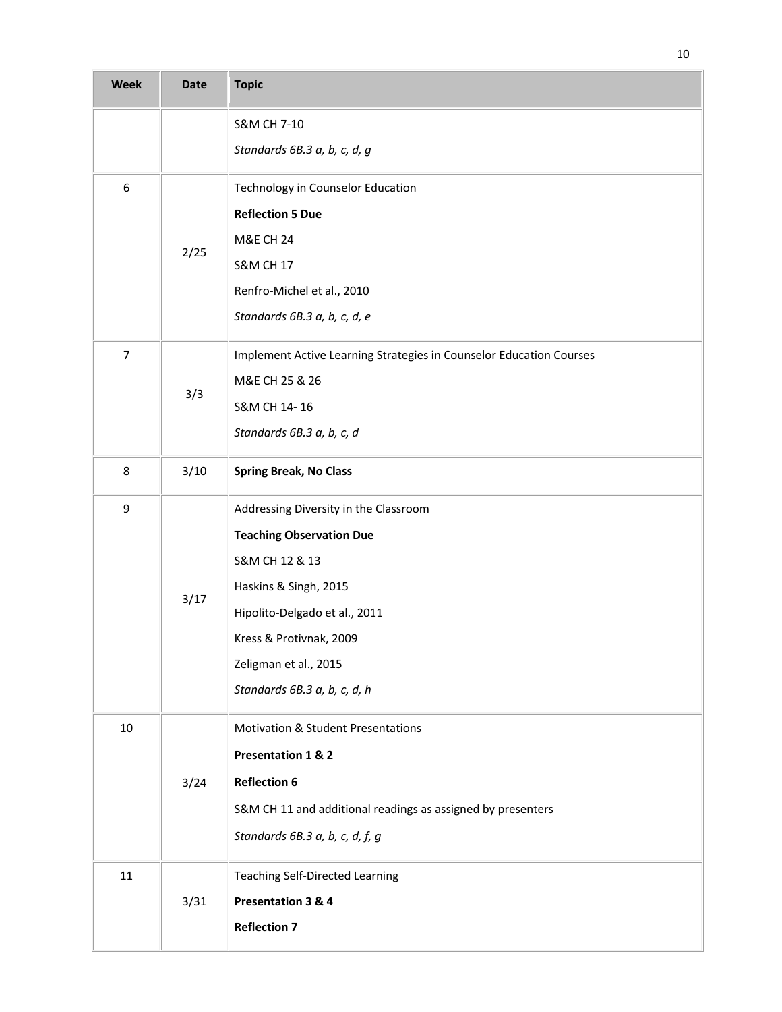| <b>Week</b>      | <b>Date</b> | <b>Topic</b>                                                        |
|------------------|-------------|---------------------------------------------------------------------|
|                  |             | S&M CH 7-10                                                         |
|                  |             | Standards 6B.3 a, b, c, d, g                                        |
| 6                |             | Technology in Counselor Education                                   |
|                  |             | <b>Reflection 5 Due</b>                                             |
|                  | 2/25        | <b>M&amp;E CH 24</b>                                                |
|                  |             | <b>S&amp;M CH 17</b>                                                |
|                  |             | Renfro-Michel et al., 2010                                          |
|                  |             | Standards 6B.3 a, b, c, d, e                                        |
| $\boldsymbol{7}$ |             | Implement Active Learning Strategies in Counselor Education Courses |
|                  | 3/3         | M&E CH 25 & 26                                                      |
|                  |             | S&M CH 14-16                                                        |
|                  |             | Standards 6B.3 a, b, c, d                                           |
| 8                | 3/10        | <b>Spring Break, No Class</b>                                       |
| 9                |             | Addressing Diversity in the Classroom                               |
|                  |             | <b>Teaching Observation Due</b>                                     |
|                  |             | S&M CH 12 & 13                                                      |
|                  |             | Haskins & Singh, 2015                                               |
|                  | 3/17        | Hipolito-Delgado et al., 2011                                       |
|                  |             | Kress & Protivnak, 2009                                             |
|                  |             | Zeligman et al., 2015                                               |
|                  |             | Standards 6B.3 a, b, c, d, h                                        |
| $10\,$           |             | <b>Motivation &amp; Student Presentations</b>                       |
|                  |             | Presentation 1 & 2                                                  |
|                  | 3/24        | <b>Reflection 6</b>                                                 |
|                  |             | S&M CH 11 and additional readings as assigned by presenters         |
|                  |             | Standards 6B.3 a, b, c, d, f, g                                     |
| $11\,$           |             | <b>Teaching Self-Directed Learning</b>                              |
|                  | 3/31        | Presentation 3 & 4                                                  |
|                  |             | <b>Reflection 7</b>                                                 |